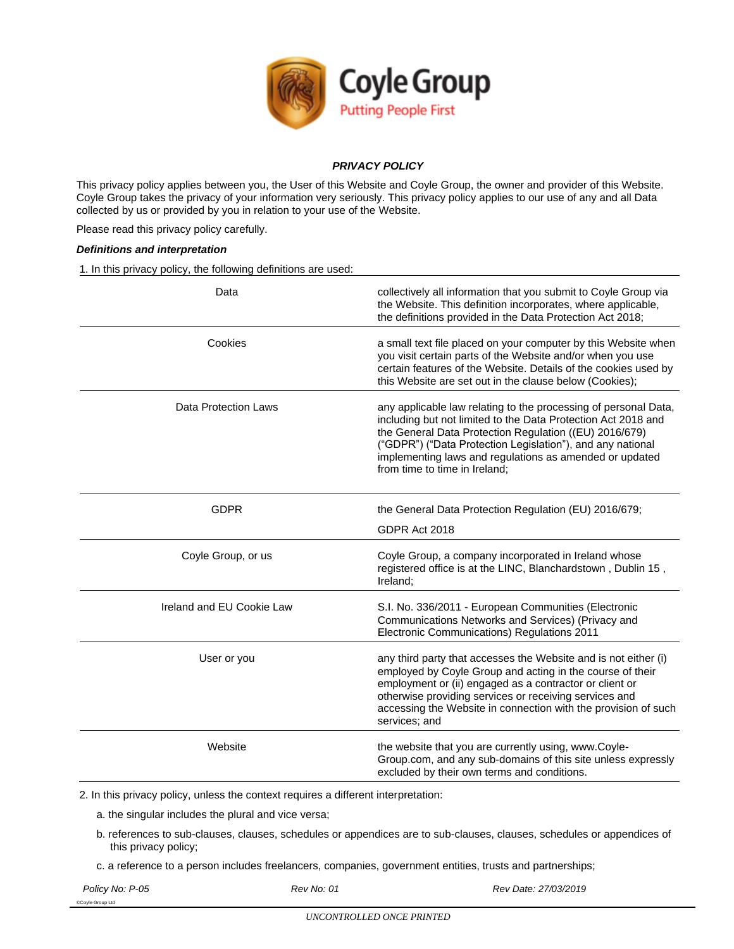

# *PRIVACY POLICY*

This privacy policy applies between you, the User of this Website and Coyle Group, the owner and provider of this Website. Coyle Group takes the privacy of your information very seriously. This privacy policy applies to our use of any and all Data collected by us or provided by you in relation to your use of the Website.

Please read this privacy policy carefully.

# *Definitions and interpretation*

1. In this privacy policy, the following definitions are used:

| Data                        | collectively all information that you submit to Coyle Group via<br>the Website. This definition incorporates, where applicable,<br>the definitions provided in the Data Protection Act 2018;                                                                                                                                                         |
|-----------------------------|------------------------------------------------------------------------------------------------------------------------------------------------------------------------------------------------------------------------------------------------------------------------------------------------------------------------------------------------------|
| Cookies                     | a small text file placed on your computer by this Website when<br>you visit certain parts of the Website and/or when you use<br>certain features of the Website. Details of the cookies used by<br>this Website are set out in the clause below (Cookies);                                                                                           |
| <b>Data Protection Laws</b> | any applicable law relating to the processing of personal Data,<br>including but not limited to the Data Protection Act 2018 and<br>the General Data Protection Regulation ((EU) 2016/679)<br>("GDPR") ("Data Protection Legislation"), and any national<br>implementing laws and regulations as amended or updated<br>from time to time in Ireland: |
| <b>GDPR</b>                 | the General Data Protection Regulation (EU) 2016/679;                                                                                                                                                                                                                                                                                                |
|                             | GDPR Act 2018                                                                                                                                                                                                                                                                                                                                        |
| Coyle Group, or us          | Coyle Group, a company incorporated in Ireland whose<br>registered office is at the LINC, Blanchardstown, Dublin 15,<br>Ireland;                                                                                                                                                                                                                     |
| Ireland and EU Cookie Law   | S.I. No. 336/2011 - European Communities (Electronic<br>Communications Networks and Services) (Privacy and<br>Electronic Communications) Regulations 2011                                                                                                                                                                                            |
| User or you                 | any third party that accesses the Website and is not either (i)<br>employed by Coyle Group and acting in the course of their<br>employment or (ii) engaged as a contractor or client or<br>otherwise providing services or receiving services and<br>accessing the Website in connection with the provision of such<br>services; and                 |
| Website                     | the website that you are currently using, www.Coyle-<br>Group.com, and any sub-domains of this site unless expressly<br>excluded by their own terms and conditions.                                                                                                                                                                                  |

2. In this privacy policy, unless the context requires a different interpretation:

- a. the singular includes the plural and vice versa;
- b. references to sub-clauses, clauses, schedules or appendices are to sub-clauses, clauses, schedules or appendices of this privacy policy;
- c. a reference to a person includes freelancers, companies, government entities, trusts and partnerships;
- 

©Coyle Group Ltd

*Policy No: P-05 Rev No: 01 Rev Date: 27/03/2019*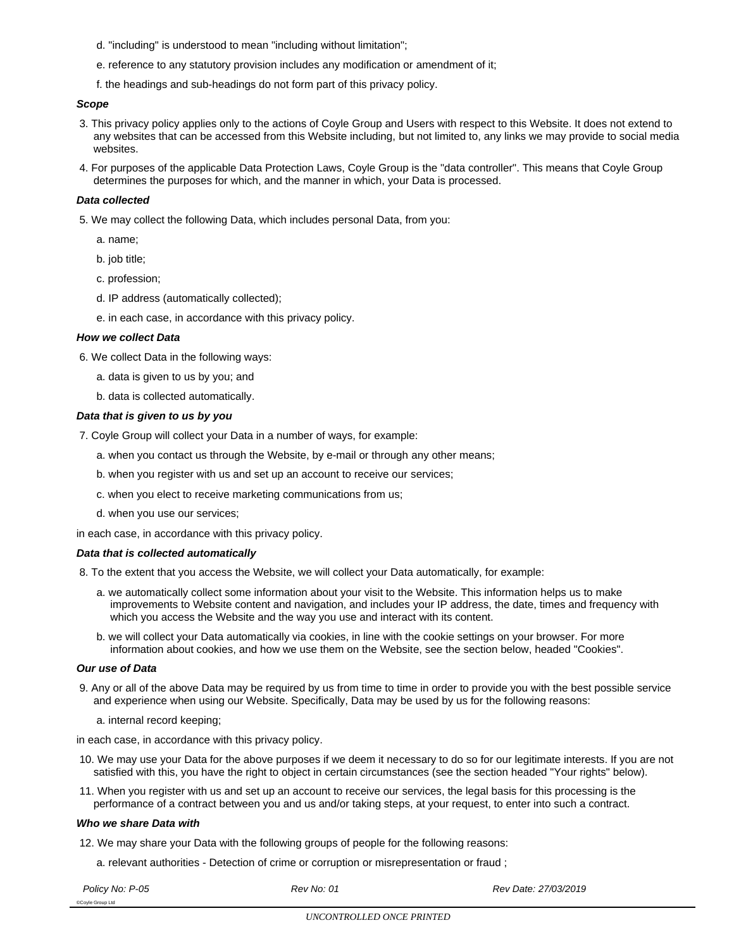- d. "including" is understood to mean "including without limitation";
- e. reference to any statutory provision includes any modification or amendment of it;
- f. the headings and sub-headings do not form part of this privacy policy.

# *Scope*

- 3. This privacy policy applies only to the actions of Coyle Group and Users with respect to this Website. It does not extend to any websites that can be accessed from this Website including, but not limited to, any links we may provide to social media websites.
- 4. For purposes of the applicable Data Protection Laws, Coyle Group is the "data controller". This means that Coyle Group determines the purposes for which, and the manner in which, your Data is processed.

### *Data collected*

- 5. We may collect the following Data, which includes personal Data, from you:
	- a. name;
	- b. job title;
	- c. profession;
	- d. IP address (automatically collected);
	- e. in each case, in accordance with this privacy policy.

### *How we collect Data*

- 6. We collect Data in the following ways:
	- a. data is given to us by you; and
	- b. data is collected automatically.

### *Data that is given to us by you*

- 7. Coyle Group will collect your Data in a number of ways, for example:
	- a. when you contact us through the Website, by e-mail or through any other means;
	- b. when you register with us and set up an account to receive our services;
	- c. when you elect to receive marketing communications from us;
	- d. when you use our services;

in each case, in accordance with this privacy policy.

#### *Data that is collected automatically*

- 8. To the extent that you access the Website, we will collect your Data automatically, for example:
	- a. we automatically collect some information about your visit to the Website. This information helps us to make improvements to Website content and navigation, and includes your IP address, the date, times and frequency with which you access the Website and the way you use and interact with its content.
	- b. we will collect your Data automatically via cookies, in line with the cookie settings on your browser. For more information about cookies, and how we use them on the Website, see the section below, headed "Cookies".

#### *Our use of Data*

- 9. Any or all of the above Data may be required by us from time to time in order to provide you with the best possible service and experience when using our Website. Specifically, Data may be used by us for the following reasons:
	- a. internal record keeping;

in each case, in accordance with this privacy policy.

- 10. We may use your Data for the above purposes if we deem it necessary to do so for our legitimate interests. If you are not satisfied with this, you have the right to object in certain circumstances (see the section headed "Your rights" below).
- 11. When you register with us and set up an account to receive our services, the legal basis for this processing is the performance of a contract between you and us and/or taking steps, at your request, to enter into such a contract.

#### *Who we share Data with*

- 12. We may share your Data with the following groups of people for the following reasons:
	- a. relevant authorities Detection of crime or corruption or misrepresentation or fraud ;

©Coyle Group Ltd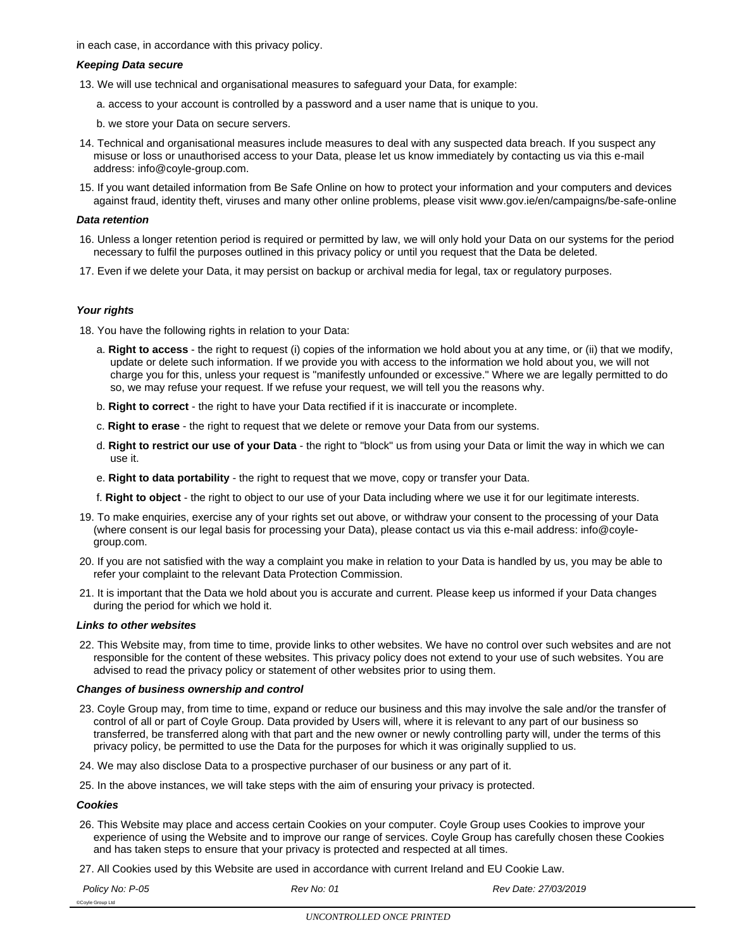in each case, in accordance with this privacy policy.

#### *Keeping Data secure*

- 13. We will use technical and organisational measures to safeguard your Data, for example:
	- a. access to your account is controlled by a password and a user name that is unique to you.
	- b. we store your Data on secure servers.
- 14. Technical and organisational measures include measures to deal with any suspected data breach. If you suspect any misuse or loss or unauthorised access to your Data, please let us know immediately by contacting us via this e-mail address: info@coyle-group.com.
- 15. If you want detailed information from Be Safe Online on how to protect your information and your computers and devices against fraud, identity theft, viruses and many other online problems, please visit www.gov.ie/en/campaigns/be-safe-online

#### *Data retention*

- 16. Unless a longer retention period is required or permitted by law, we will only hold your Data on our systems for the period necessary to fulfil the purposes outlined in this privacy policy or until you request that the Data be deleted.
- 17. Even if we delete your Data, it may persist on backup or archival media for legal, tax or regulatory purposes.

# *Your rights*

- 18. You have the following rights in relation to your Data:
	- a. **Right to access** the right to request (i) copies of the information we hold about you at any time, or (ii) that we modify, update or delete such information. If we provide you with access to the information we hold about you, we will not charge you for this, unless your request is "manifestly unfounded or excessive." Where we are legally permitted to do so, we may refuse your request. If we refuse your request, we will tell you the reasons why.
	- b. **Right to correct** the right to have your Data rectified if it is inaccurate or incomplete.
	- c. **Right to erase** the right to request that we delete or remove your Data from our systems.
	- d. **Right to restrict our use of your Data** the right to "block" us from using your Data or limit the way in which we can use it.
	- e. **Right to data portability** the right to request that we move, copy or transfer your Data.
	- f. **Right to object** the right to object to our use of your Data including where we use it for our legitimate interests.
- 19. To make enquiries, exercise any of your rights set out above, or withdraw your consent to the processing of your Data (where consent is our legal basis for processing your Data), please contact us via this e-mail address: info@coylegroup.com.
- 20. If you are not satisfied with the way a complaint you make in relation to your Data is handled by us, you may be able to refer your complaint to the relevant Data Protection Commission.
- 21. It is important that the Data we hold about you is accurate and current. Please keep us informed if your Data changes during the period for which we hold it.

### *Links to other websites*

22. This Website may, from time to time, provide links to other websites. We have no control over such websites and are not responsible for the content of these websites. This privacy policy does not extend to your use of such websites. You are advised to read the privacy policy or statement of other websites prior to using them.

# *Changes of business ownership and control*

- 23. Coyle Group may, from time to time, expand or reduce our business and this may involve the sale and/or the transfer of control of all or part of Coyle Group. Data provided by Users will, where it is relevant to any part of our business so transferred, be transferred along with that part and the new owner or newly controlling party will, under the terms of this privacy policy, be permitted to use the Data for the purposes for which it was originally supplied to us.
- 24. We may also disclose Data to a prospective purchaser of our business or any part of it.
- 25. In the above instances, we will take steps with the aim of ensuring your privacy is protected.

#### *Cookies*

- 26. This Website may place and access certain Cookies on your computer. Coyle Group uses Cookies to improve your experience of using the Website and to improve our range of services. Coyle Group has carefully chosen these Cookies and has taken steps to ensure that your privacy is protected and respected at all times.
- 27. All Cookies used by this Website are used in accordance with current Ireland and EU Cookie Law.

©Coyle Group Ltd

*Policy No: P-05 Rev No: 01 Rev Date: 27/03/2019*